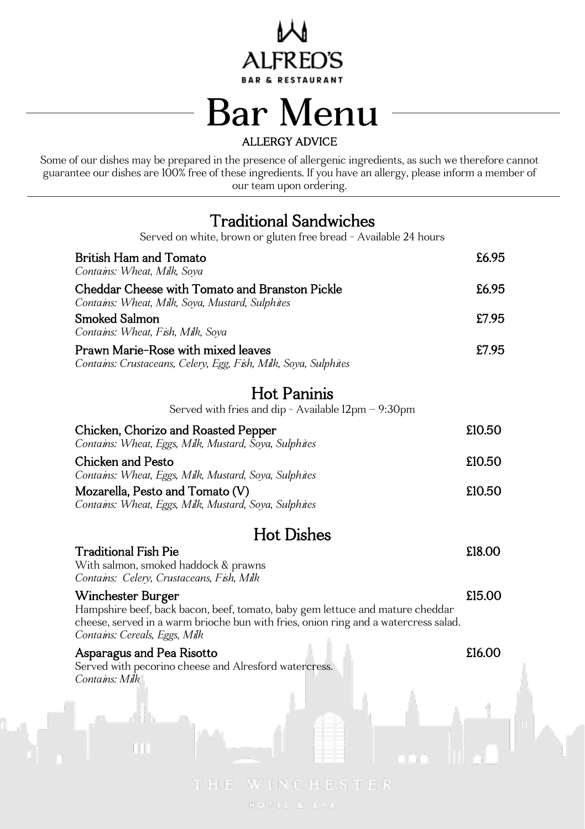

## Bar Menu ALLERGY ADVICE

 Some of our dishes may be prepared in the presence of allergenic ingredients, as such we therefore cannot guarantee our dishes are 100% free of these ingredients. If you have an allergy, please inform a member of our team upon ordering.

### Traditional Sandwiches

| Served on white, brown or gluten free bread - Available 24 hours                                                                                                                                                           |        |  |
|----------------------------------------------------------------------------------------------------------------------------------------------------------------------------------------------------------------------------|--------|--|
| British Ham and Tomato<br>Contains: Wheat, Milk, Soya                                                                                                                                                                      | £6.95  |  |
| Cheddar Cheese with Tomato and Branston Pickle<br>Contains: Wheat, Milk, Soya, Mustard, Sulphites                                                                                                                          | £6.95  |  |
| Smoked Salmon<br>Contains: Wheat, Fish, Milk, Soya                                                                                                                                                                         | £7.95  |  |
| Prawn Marie-Rose with mixed leaves<br>Contains: Crustaceans, Celery, Egg, Fish, Milk, Soya, Sulphites                                                                                                                      | £7.95  |  |
| <b>Hot Paninis</b>                                                                                                                                                                                                         |        |  |
| Served with fries and dip - Available 12pm - 9:30pm                                                                                                                                                                        |        |  |
| Chicken, Chorizo and Roasted Pepper<br>Contains: Wheat, Eggs, Milk, Mustard, Soya, Sulphites                                                                                                                               | £10.50 |  |
| Chicken and Pesto<br>Contains: Wheat, Eggs, Milk, Mustard, Soya, Sulphites                                                                                                                                                 | £10.50 |  |
| Mozarella, Pesto and Tomato (V)                                                                                                                                                                                            | £10.50 |  |
| Contains: Wheat, Eggs, Milk, Mustard, Soya, Sulphites                                                                                                                                                                      |        |  |
| <b>Hot Dishes</b>                                                                                                                                                                                                          |        |  |
| Traditional Fish Pie<br>With salmon, smoked haddock & prawns<br>Contains: Celery, Crustaceans, Fish, Milk                                                                                                                  | £18.00 |  |
| Winchester Burger<br>Hampshire beef, back bacon, beef, tomato, baby gem lettuce and mature cheddar<br>cheese, served in a warm brioche bun with fries, onion ring and a watercress salad.<br>Contains: Cereals, Eggs, Milk | £15.00 |  |
| Asparagus and Pea Risotto<br>Served with pecorino cheese and Alresford watercress.<br>Contains: Milk                                                                                                                       | £16.00 |  |
|                                                                                                                                                                                                                            |        |  |
|                                                                                                                                                                                                                            |        |  |